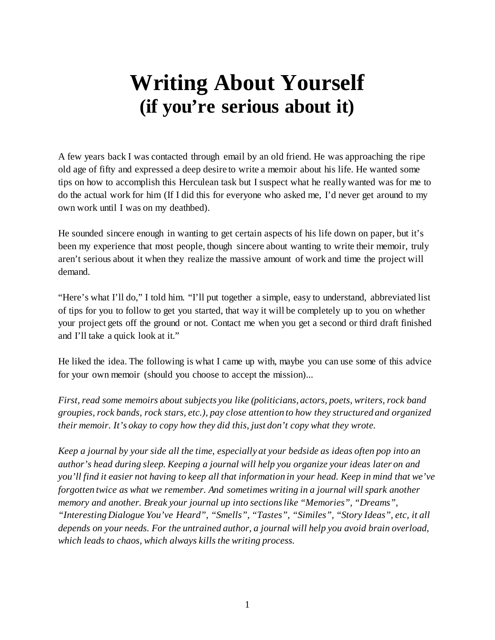## **Writing About Yourself (if you're serious about it)**

A few years back I was contacted through email by an old friend. He was approaching the ripe old age of fifty and expressed a deep desire to write a memoir about his life. He wanted some tips on how to accomplish this Herculean task but I suspect what he really wanted was for me to do the actual work for him (If I did this for everyone who asked me, I'd never get around to my own work until I was on my deathbed).

He sounded sincere enough in wanting to get certain aspects of his life down on paper, but it's been my experience that most people, though sincere about wanting to write their memoir, truly aren't serious about it when they realize the massive amount of work and time the project will demand.

"Here's what I'll do," I told him. "I'll put together a simple, easy to understand, abbreviated list of tips for you to follow to get you started, that way it will be completely up to you on whether your project gets off the ground or not. Contact me when you get a second or third draft finished and I'll take a quick look at it."

He liked the idea. The following is what I came up with, maybe you can use some of this advice for your own memoir (should you choose to accept the mission)...

*First, read some memoirs about subjects you like (politicians, actors, poets, writers, rock band groupies, rock bands, rock stars, etc.), pay close attention to how they structured and organized their memoir. It's okay to copy how they did this, just don't copy what they wrote.*

*Keep a journal by your side all the time, especially at your bedside as ideas often pop into an author's head during sleep. Keeping a journal will help you organize your ideas later on and you'll find it easier not having to keep all that information in your head. Keep in mind that we've forgotten twice as what we remember. And sometimes writing in a journal will spark another memory and another. Break your journal up into sections like "Memories", "Dreams", "Interesting Dialogue You've Heard", "Smells", "Tastes", "Similes", "Story Ideas", etc, it all depends on your needs. For the untrained author, a journal will help you avoid brain overload, which leads to chaos, which always kills the writing process.*